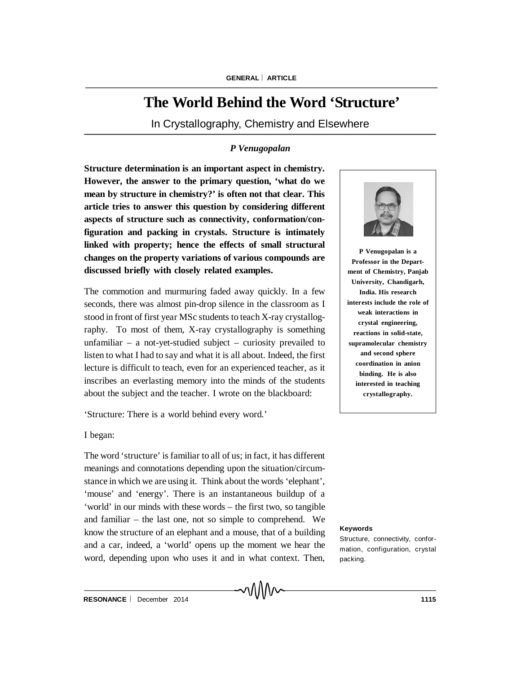# **The World Behind the Word 'Structure'**

In Crystallography, Chemistry and Elsewhere

# *P Venugopalan*

**Structure determination is an important aspect in chemistry. However, the answer to the primary question, 'what do we mean by structure in chemistry?' is often not that clear. This article tries to answer this question by considering different aspects of structure such as connectivity, conformation/configuration and packing in crystals. Structure is intimately linked with property; hence the effects of small structural changes on the property variations of various compounds are discussed briefly with closely related examples.**

The commotion and murmuring faded away quickly. In a few seconds, there was almost pin-drop silence in the classroom as I stood in front of first year MSc students to teach X-ray crystallography. To most of them, X-ray crystallography is something unfamiliar – a not-yet-studied subject – curiosity prevailed to listen to what I had to say and what it is all about. Indeed, the first lecture is difficult to teach, even for an experienced teacher, as it inscribes an everlasting memory into the minds of the students about the subject and the teacher. I wrote on the blackboard:

'Structure: There is a world behind every word.'

I began:

The word 'structure' is familiar to all of us; in fact, it has different meanings and connotations depending upon the situation/circumstance in which we are using it. Think about the words 'elephant', 'mouse' and 'energy'. There is an instantaneous buildup of a 'world' in our minds with these words – the first two, so tangible and familiar – the last one, not so simple to comprehend. We know the structure of an elephant and a mouse, that of a building and a car, indeed, a 'world' opens up the moment we hear the word, depending upon who uses it and in what context. Then,



**P Venugopalan is a Professor in the Department of Chemistry, Panjab University, Chandigarh, India. His research interests include the role of weak interactions in crystal engineering, reactions in solid-state, supramolecular chemistry and second sphere coordination in anion binding. He is also interested in teaching crystallography.**

#### **Keywords**

Structure, connectivity, conformation, configuration, crystal packing.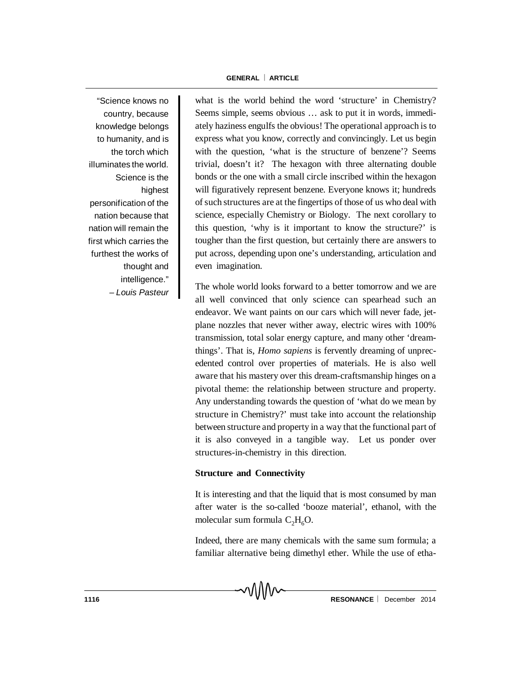"Science knows no country, because knowledge belongs to humanity, and is the torch which illuminates the world. Science is the highest personification of the nation because that nation will remain the first which carries the furthest the works of thought and intelligence." *– Louis Pasteur* what is the world behind the word 'structure' in Chemistry? Seems simple, seems obvious … ask to put it in words, immediately haziness engulfs the obvious! The operational approach is to express what you know, correctly and convincingly. Let us begin with the question, 'what is the structure of benzene'? Seems trivial, doesn't it? The hexagon with three alternating double bonds or the one with a small circle inscribed within the hexagon will figuratively represent benzene. Everyone knows it; hundreds of such structures are at the fingertips of those of us who deal with science, especially Chemistry or Biology. The next corollary to this question, 'why is it important to know the structure?' is tougher than the first question, but certainly there are answers to put across, depending upon one's understanding, articulation and even imagination.

The whole world looks forward to a better tomorrow and we are all well convinced that only science can spearhead such an endeavor. We want paints on our cars which will never fade, jetplane nozzles that never wither away, electric wires with 100% transmission, total solar energy capture, and many other 'dreamthings'. That is, *Homo sapiens* is fervently dreaming of unprecedented control over properties of materials. He is also well aware that his mastery over this dream-craftsmanship hinges on a pivotal theme: the relationship between structure and property. Any understanding towards the question of 'what do we mean by structure in Chemistry?' must take into account the relationship between structure and property in a way that the functional part of it is also conveyed in a tangible way. Let us ponder over structures-in-chemistry in this direction.

# **Structure and Connectivity**

It is interesting and that the liquid that is most consumed by man after water is the so-called 'booze material', ethanol, with the molecular sum formula  $C_2H_6O$ .

Indeed, there are many chemicals with the same sum formula; a familiar alternative being dimethyl ether. While the use of etha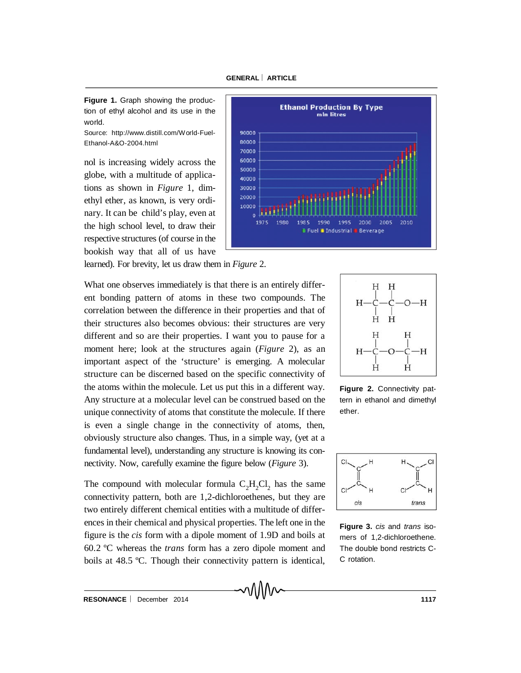**Figure 1.** Graph showing the production of ethyl alcohol and its use in the world.

Source: http://www.distill.com/World-Fuel-Ethanol-A&O-2004.html

nol is increasing widely across the globe, with a multitude of applications as shown in *Figure* 1, dimethyl ether, as known, is very ordinary. It can be child's play, even at the high school level, to draw their respective structures (of course in the bookish way that all of us have

learned). For brevity, let us draw them in *Figure* 2.

What one observes immediately is that there is an entirely different bonding pattern of atoms in these two compounds. The correlation between the difference in their properties and that of their structures also becomes obvious: their structures are very different and so are their properties. I want you to pause for a moment here; look at the structures again (*Figure* 2), as an important aspect of the 'structure' is emerging. A molecular structure can be discerned based on the specific connectivity of the atoms within the molecule. Let us put this in a different way. Any structure at a molecular level can be construed based on the unique connectivity of atoms that constitute the molecule. If there is even a single change in the connectivity of atoms, then, obviously structure also changes. Thus, in a simple way, (yet at a fundamental level), understanding any structure is knowing its connectivity. Now, carefully examine the figure below (*Figure* 3).

The compound with molecular formula  $C_2H_2Cl_2$  has the same connectivity pattern, both are 1,2-dichloroethenes, but they are two entirely different chemical entities with a multitude of differences in their chemical and physical properties. The left one in the figure is the *cis* form with a dipole moment of 1.9D and boils at 60.2 ºC whereas the *trans* form has a zero dipole moment and boils at 48.5 ºC. Though their connectivity pattern is identical,





**Figure 2.** Connectivity pattern in ethanol and dimethyl ether.



**Figure 3.** *cis* and *trans* isomers of 1,2-dichloroethene. The double bond restricts C-C rotation.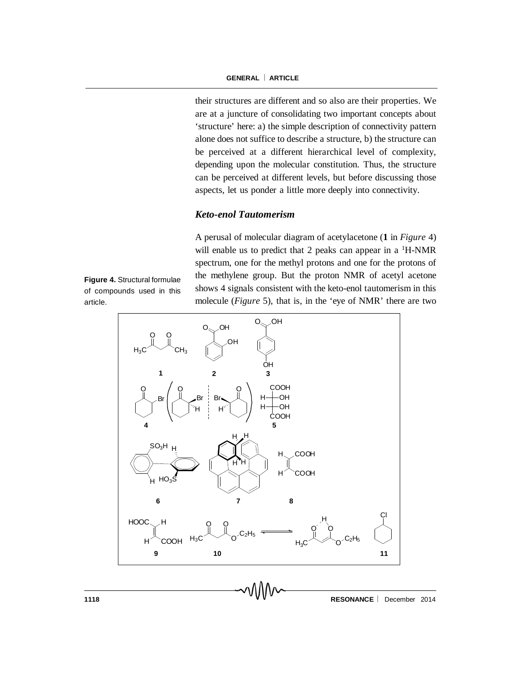their structures are different and so also are their properties. We are at a juncture of consolidating two important concepts about 'structure' here: a) the simple description of connectivity pattern alone does not suffice to describe a structure, b) the structure can be perceived at a different hierarchical level of complexity, depending upon the molecular constitution. Thus, the structure can be perceived at different levels, but before discussing those aspects, let us ponder a little more deeply into connectivity.

# *Keto-enol Tautomerism*

A perusal of molecular diagram of acetylacetone (**1** in *Figure* 4) will enable us to predict that 2 peaks can appear in a <sup>1</sup>H-NMR spectrum, one for the methyl protons and one for the protons of the methylene group. But the proton NMR of acetyl acetone shows 4 signals consistent with the keto-enol tautomerism in this molecule (*Figure* 5), that is, in the 'eye of NMR' there are two



**Figure 4.** Structural formulae of compounds used in this article.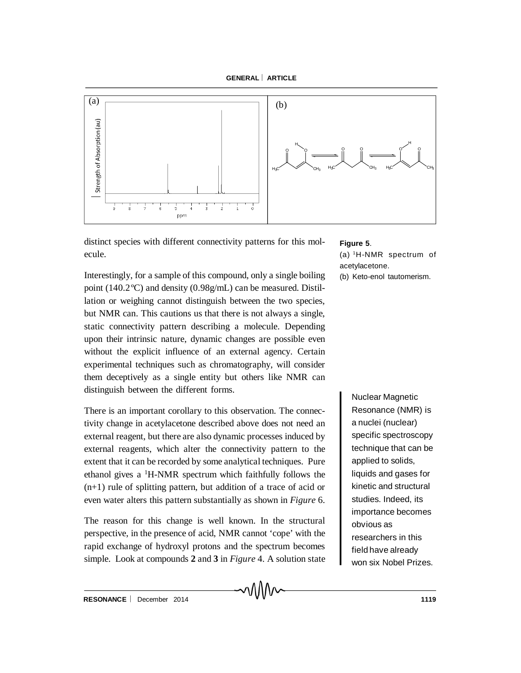

distinct species with different connectivity patterns for this molecule.

Interestingly, for a sample of this compound, only a single boiling point (140.2ºC) and density (0.98g/mL) can be measured. Distillation or weighing cannot distinguish between the two species, but NMR can. This cautions us that there is not always a single, static connectivity pattern describing a molecule. Depending upon their intrinsic nature, dynamic changes are possible even without the explicit influence of an external agency. Certain experimental techniques such as chromatography, will consider them deceptively as a single entity but others like NMR can distinguish between the different forms.

There is an important corollary to this observation. The connectivity change in acetylacetone described above does not need an external reagent, but there are also dynamic processes induced by external reagents, which alter the connectivity pattern to the extent that it can be recorded by some analytical techniques. Pure ethanol gives a  ${}^{1}$ H-NMR spectrum which faithfully follows the (n+1) rule of splitting pattern, but addition of a trace of acid or even water alters this pattern substantially as shown in *Figure* 6.

The reason for this change is well known. In the structural perspective, in the presence of acid, NMR cannot 'cope' with the rapid exchange of hydroxyl protons and the spectrum becomes simple. Look at compounds **2** and **3** in *Figure* 4. A solution state

### **Figure 5**.

(a) <sup>1</sup>H-NMR spectrum of acetylacetone.

(b) Keto-enol tautomerism.

Nuclear Magnetic Resonance (NMR) is a nuclei (nuclear) specific spectroscopy technique that can be applied to solids, liquids and gases for kinetic and structural studies. Indeed, its importance becomes obvious as researchers in this field have already won six Nobel Prizes.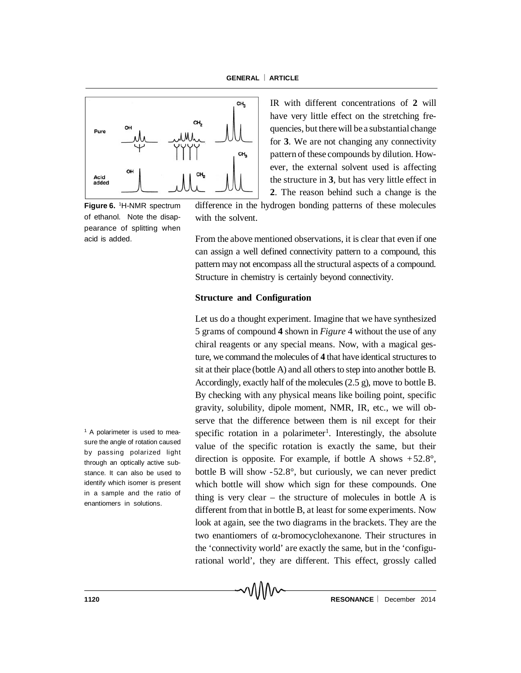

**Figure 6.** <sup>1</sup>H-NMR spectrum of ethanol. Note the disappearance of splitting when acid is added.

IR with different concentrations of **2** will have very little effect on the stretching frequencies, but therewill bea substantialchange for **3**. We are not changing any connectivity pattern of these compounds by dilution. However, the external solvent used is affecting the structure in **3**, but has very little effect in **2**. The reason behind such a change is the

difference in the hydrogen bonding patterns of these molecules with the solvent.

From the above mentioned observations, it is clear that even if one can assign a well defined connectivity pattern to a compound, this pattern may not encompass all the structural aspects of a compound. Structure in chemistry is certainly beyond connectivity.

#### **Structure and Configuration**

Let us do a thought experiment. Imagine that we have synthesized 5 grams of compound **4** shown in *Figure* 4 without the use of any chiral reagents or any special means. Now, with a magical gesture, we command the molecules of **4** that have identical structures to sit at their place (bottle A) and all others to step into another bottle B. Accordingly, exactly half of the molecules (2.5 g), move to bottle B. By checking with any physical means like boiling point, specific gravity, solubility, dipole moment, NMR, IR, etc., we will observe that the difference between them is nil except for their specific rotation in a polarimeter<sup>1</sup>. Interestingly, the absolute value of the specific rotation is exactly the same, but their direction is opposite. For example, if bottle A shows  $+52.8^{\circ}$ , bottle B will show -52.8°, but curiously, we can never predict which bottle will show which sign for these compounds. One thing is very clear – the structure of molecules in bottle A is different from that in bottle B, at least for some experiments. Now look at again, see the two diagrams in the brackets. They are the two enantiomers of  $\alpha$ -bromocyclohexanone. Their structures in the 'connectivity world' are exactly the same, but in the 'configurational world', they are different. This effect, grossly called

<sup>1</sup> A polarimeter is used to measure the angle of rotation caused by passing polarized light through an optically active substance. It can also be used to identify which isomer is present in a sample and the ratio of enantiomers in solutions.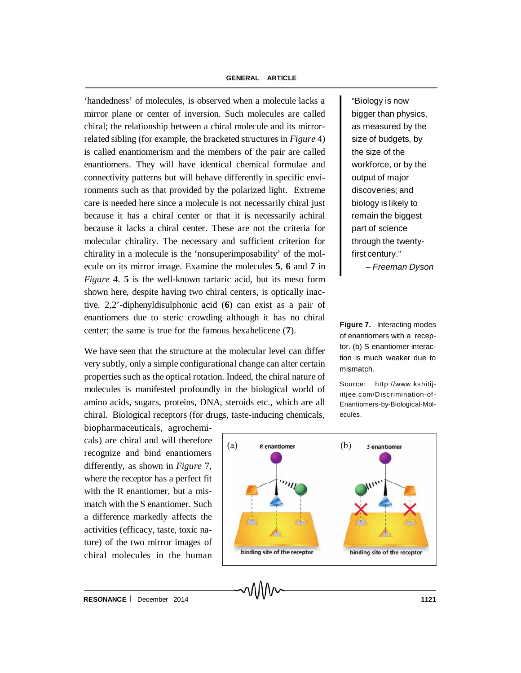'handedness' of molecules, is observed when a molecule lacks a mirror plane or center of inversion. Such molecules are called chiral; the relationship between a chiral molecule and its mirrorrelated sibling (for example, the bracketed structures in *Figure* 4) is called enantiomerism and the members of the pair are called enantiomers. They will have identical chemical formulae and connectivity patterns but will behave differently in specific environments such as that provided by the polarized light. Extreme care is needed here since a molecule is not necessarily chiral just because it has a chiral center or that it is necessarily achiral because it lacks a chiral center. These are not the criteria for molecular chirality. The necessary and sufficient criterion for chirality in a molecule is the 'nonsuperimposability' of the molecule on its mirror image. Examine the molecules **5**, **6** and **7** in *Figure* 4. **5** is the well-known tartaric acid, but its meso form shown here, despite having two chiral centers, is optically inactive. 2,2'-diphenyldisulphonic acid (**6**) can exist as a pair of enantiomers due to steric crowding although it has no chiral center; the same is true for the famous hexahelicene (**7**).

We have seen that the structure at the molecular level can differ very subtly, only a simple configurational change can alter certain properties such as the optical rotation. Indeed, the chiral nature of molecules is manifested profoundly in the biological world of amino acids, sugars, proteins, DNA, steroids etc., which are all chiral. Biological receptors (for drugs, taste-inducing chemicals,

biopharmaceuticals, agrochemicals) are chiral and will therefore recognize and bind enantiomers differently, as shown in *Figure* 7, where the receptor has a perfect fit with the R enantiomer, but a mismatch with the S enantiomer. Such a difference markedly affects the activities (efficacy, taste, toxic nature) of the two mirror images of chiral molecules in the human

"Biology is now bigger than physics, as measured by the size of budgets, by the size of the workforce, or by the output of major discoveries; and biology is likely to remain the biggest part of science through the twentyfirst century."

*– Freeman Dyson*

**Figure 7.** Interacting modes of enantiomers with a receptor. (b) S enantiomer interaction is much weaker due to mismatch.

Source: http://www.kshitijiitjee.com/Discrimination-of-Enantiomers-by-Biological-Molecules.

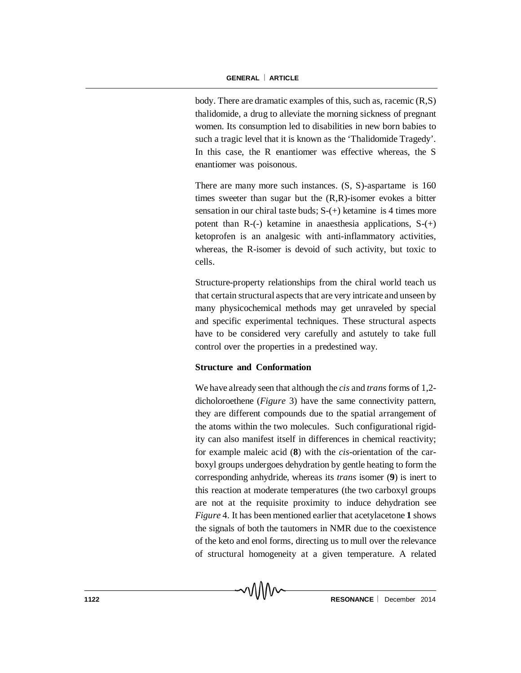body. There are dramatic examples of this, such as, racemic (R,S) thalidomide, a drug to alleviate the morning sickness of pregnant women. Its consumption led to disabilities in new born babies to such a tragic level that it is known as the 'Thalidomide Tragedy'. In this case, the R enantiomer was effective whereas, the S enantiomer was poisonous.

There are many more such instances. (S, S)-aspartame is 160 times sweeter than sugar but the (R,R)-isomer evokes a bitter sensation in our chiral taste buds; S-(+) ketamine is 4 times more potent than  $R$ -(-) ketamine in anaesthesia applications,  $S$ -(+) ketoprofen is an analgesic with anti-inflammatory activities, whereas, the R-isomer is devoid of such activity, but toxic to cells.

Structure-property relationships from the chiral world teach us that certain structural aspects that are very intricate and unseen by many physicochemical methods may get unraveled by special and specific experimental techniques. These structural aspects have to be considered very carefully and astutely to take full control over the properties in a predestined way.

#### **Structure and Conformation**

We have already seen that although the *cis* and *trans* forms of 1,2 dicholoroethene (*Figure* 3) have the same connectivity pattern, they are different compounds due to the spatial arrangement of the atoms within the two molecules. Such configurational rigidity can also manifest itself in differences in chemical reactivity; for example maleic acid (**8**) with the *cis*-orientation of the carboxyl groups undergoes dehydration by gentle heating to form the corresponding anhydride, whereas its *trans* isomer (**9**) is inert to this reaction at moderate temperatures (the two carboxyl groups are not at the requisite proximity to induce dehydration see *Figure* 4. It has been mentioned earlier that acetylacetone **1** shows the signals of both the tautomers in NMR due to the coexistence of the keto and enol forms, directing us to mull over the relevance of structural homogeneity at a given temperature. A related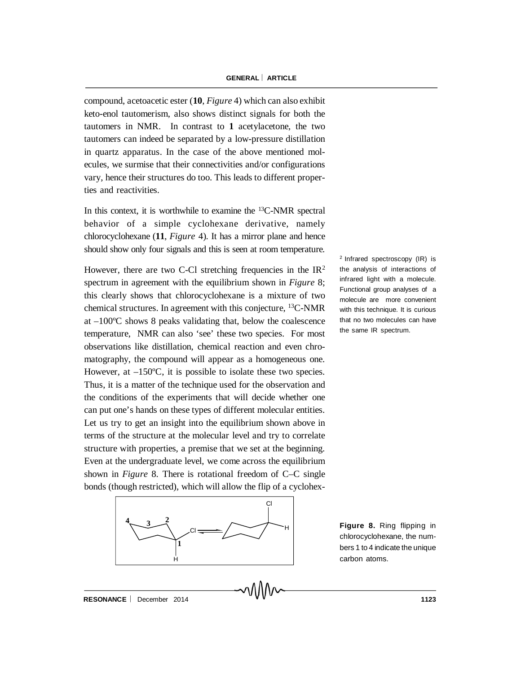compound, acetoacetic ester (**10**, *Figure* 4) which can also exhibit keto-enol tautomerism, also shows distinct signals for both the tautomers in NMR. In contrast to **1** acetylacetone, the two tautomers can indeed be separated by a low-pressure distillation in quartz apparatus. In the case of the above mentioned molecules, we surmise that their connectivities and/or configurations vary, hence their structures do too. This leads to different properties and reactivities.

In this context, it is worthwhile to examine the <sup>13</sup>C-NMR spectral behavior of a simple cyclohexane derivative, namely chlorocyclohexane (**11**, *Figure* 4). It has a mirror plane and hence should show only four signals and this is seen at room temperature.

However, there are two C-Cl stretching frequencies in the  $IR<sup>2</sup>$ spectrum in agreement with the equilibrium shown in *Figure* 8; this clearly shows that chlorocyclohexane is a mixture of two chemical structures. In agreement with this conjecture, <sup>13</sup>C-NMR at –100ºC shows 8 peaks validating that, below the coalescence temperature, NMR can also 'see' these two species. For most observations like distillation, chemical reaction and even chromatography, the compound will appear as a homogeneous one. However, at  $-150^{\circ}$ C, it is possible to isolate these two species. Thus, it is a matter of the technique used for the observation and the conditions of the experiments that will decide whether one can put one's hands on these types of different molecular entities. Let us try to get an insight into the equilibrium shown above in terms of the structure at the molecular level and try to correlate structure with properties, a premise that we set at the beginning. Even at the undergraduate level, we come across the equilibrium shown in *Figure* 8. There is rotational freedom of C–C single bonds (though restricted), which will allow the flip of a cyclohex-



2 Infrared spectroscopy (IR) is the analysis of interactions of infrared light with a molecule. Functional group analyses of a molecule are more convenient with this technique. It is curious that no two molecules can have the same IR spectrum.

**Figure 8.** Ring flipping in chlorocyclohexane, the numbers 1 to 4 indicate the unique carbon atoms.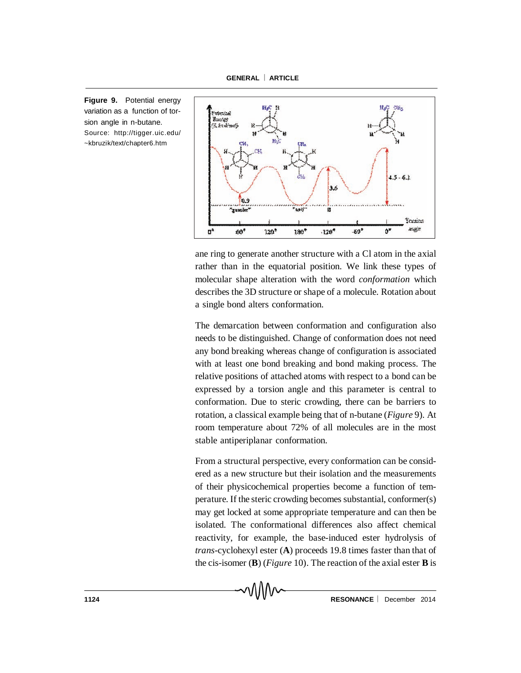**Figure 9.** Potential energy variation as a function of torsion angle in n-butane. Source: http://tigger.uic.edu/ ~kbruzik/text/chapter6.htm



ane ring to generate another structure with a Cl atom in the axial rather than in the equatorial position. We link these types of molecular shape alteration with the word *conformation* which describes the 3D structure or shape of a molecule. Rotation about a single bond alters conformation.

The demarcation between conformation and configuration also needs to be distinguished. Change of conformation does not need any bond breaking whereas change of configuration is associated with at least one bond breaking and bond making process. The relative positions of attached atoms with respect to a bond can be expressed by a torsion angle and this parameter is central to conformation. Due to steric crowding, there can be barriers to rotation, a classical example being that of n-butane (*Figure* 9). At room temperature about 72% of all molecules are in the most stable antiperiplanar conformation.

From a structural perspective, every conformation can be considered as a new structure but their isolation and the measurements of their physicochemical properties become a function of temperature. If the steric crowding becomes substantial, conformer(s) may get locked at some appropriate temperature and can then be isolated. The conformational differences also affect chemical reactivity, for example, the base-induced ester hydrolysis of *trans*-cyclohexyl ester (**A**) proceeds 19.8 times faster than that of the cis-isomer (**B**) (*Figure* 10). The reaction of the axial ester **B** is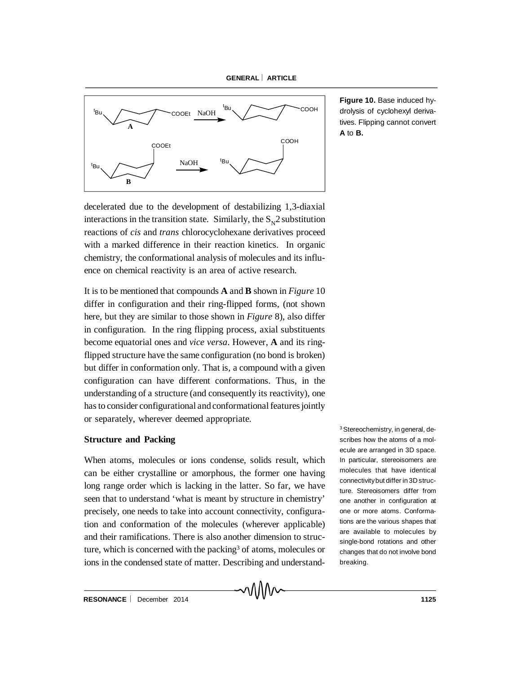

decelerated due to the development of destabilizing 1,3-diaxial interactions in the transition state. Similarly, the  $S_N^2$  substitution reactions of *cis* and *trans* chlorocyclohexane derivatives proceed with a marked difference in their reaction kinetics. In organic chemistry, the conformational analysis of molecules and its influence on chemical reactivity is an area of active research.

It is to be mentioned that compounds **A** and **B** shown in *Figure* 10 differ in configuration and their ring-flipped forms, (not shown here, but they are similar to those shown in *Figure* 8), also differ in configuration. In the ring flipping process, axial substituents become equatorial ones and *vice versa*. However, **A** and its ringflipped structure have the same configuration (no bond is broken) but differ in conformation only. That is, a compound with a given configuration can have different conformations. Thus, in the understanding of a structure (and consequently its reactivity), one has to consider configurational and conformational features jointly or separately, wherever deemed appropriate.

## **Structure and Packing**

When atoms, molecules or ions condense, solids result, which can be either crystalline or amorphous, the former one having long range order which is lacking in the latter. So far, we have seen that to understand 'what is meant by structure in chemistry' precisely, one needs to take into account connectivity, configuration and conformation of the molecules (wherever applicable) and their ramifications. There is also another dimension to structure, which is concerned with the packing<sup>3</sup> of atoms, molecules or ions in the condensed state of matter. Describing and understand<sup>3</sup> Stereochemistry, in general, describes how the atoms of a molecule are arranged in 3D space. In particular, stereoisomers are molecules that have identical connectivitybut differ in 3D structure. Stereoisomers differ from one another in configuration at one or more atoms. Conformations are the various shapes that are available to molecules by single-bond rotations and other changes that do not involve bond breaking.

**Figure 10.** Base induced hydrolysis of cyclohexyl derivatives. Flipping cannot convert **A** to **B.**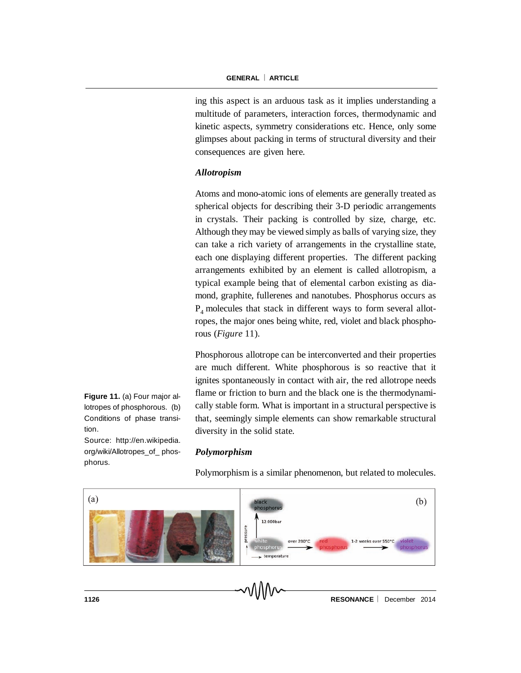ing this aspect is an arduous task as it implies understanding a multitude of parameters, interaction forces, thermodynamic and kinetic aspects, symmetry considerations etc. Hence, only some glimpses about packing in terms of structural diversity and their consequences are given here.

# *Allotropism*

Atoms and mono-atomic ions of elements are generally treated as spherical objects for describing their 3-D periodic arrangements in crystals. Their packing is controlled by size, charge, etc. Although they may be viewed simply as balls of varying size, they can take a rich variety of arrangements in the crystalline state, each one displaying different properties. The different packing arrangements exhibited by an element is called allotropism, a typical example being that of elemental carbon existing as diamond, graphite, fullerenes and nanotubes. Phosphorus occurs as  $P<sub>4</sub>$  molecules that stack in different ways to form several allotropes, the major ones being white, red, violet and black phosphorous (*Figure* 11).

Phosphorous allotrope can be interconverted and their properties are much different. White phosphorous is so reactive that it ignites spontaneously in contact with air, the red allotrope needs flame or friction to burn and the black one is the thermodynamically stable form. What is important in a structural perspective is that, seemingly simple elements can show remarkable structural diversity in the solid state.

*Polymorphism*



Polymorphism is a similar phenomenon, but related to molecules.

**Figure 11.** (a) Four major allotropes of phosphorous. (b) Conditions of phase transition.

Source: http://en.wikipedia. org/wiki/Allotropes\_of\_ phosphorus.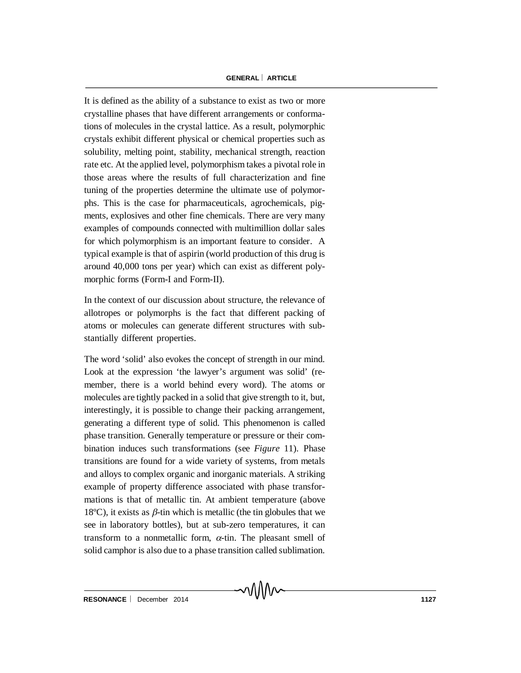It is defined as the ability of a substance to exist as two or more crystalline phases that have different arrangements or conformations of molecules in the crystal lattice. As a result, polymorphic crystals exhibit different physical or chemical properties such as solubility, melting point, stability, mechanical strength, reaction rate etc. At the applied level, polymorphism takes a pivotal role in those areas where the results of full characterization and fine tuning of the properties determine the ultimate use of polymorphs. This is the case for pharmaceuticals, agrochemicals, pigments, explosives and other fine chemicals. There are very many examples of compounds connected with multimillion dollar sales for which polymorphism is an important feature to consider. A typical example is that of aspirin (world production of this drug is around 40,000 tons per year) which can exist as different polymorphic forms (Form-I and Form-II).

In the context of our discussion about structure, the relevance of allotropes or polymorphs is the fact that different packing of atoms or molecules can generate different structures with substantially different properties.

The word 'solid' also evokes the concept of strength in our mind. Look at the expression 'the lawyer's argument was solid' (remember, there is a world behind every word). The atoms or molecules are tightly packed in a solid that give strength to it, but, interestingly, it is possible to change their packing arrangement, generating a different type of solid. This phenomenon is called phase transition. Generally temperature or pressure or their combination induces such transformations (see *Figure* 11). Phase transitions are found for a wide variety of systems, from metals and alloys to complex organic and inorganic materials. A striking example of property difference associated with phase transformations is that of metallic tin. At ambient temperature (above 18 $^{\circ}$ C), it exists as  $\beta$ -tin which is metallic (the tin globules that we see in laboratory bottles), but at sub-zero temperatures, it can transform to a nonmetallic form,  $\alpha$ -tin. The pleasant smell of solid camphor is also due to a phase transition called sublimation.

∿∧∧∧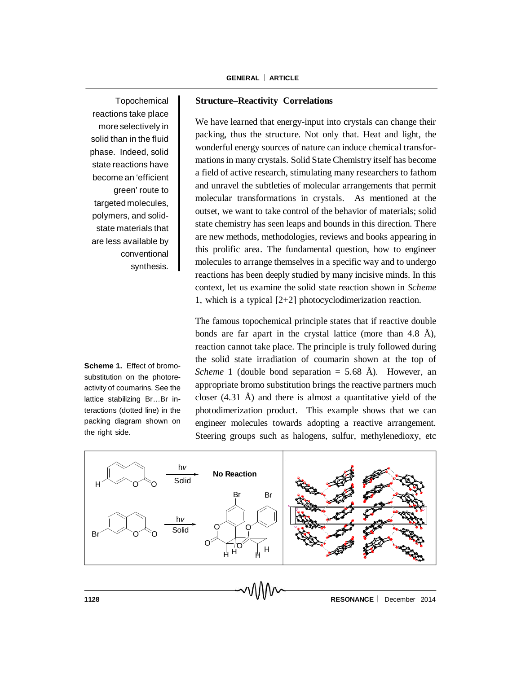Topochemical reactions take place more selectively in solid than in the fluid phase. Indeed, solid state reactions have become an 'efficient green' route to targeted molecules, polymers, and solidstate materials that are less available by conventional synthesis.

**Scheme 1.** Effect of bromosubstitution on the photoreactivity of coumarins. See the lattice stabilizing Br…Br interactions (dotted line) in the packing diagram shown on the right side.

# **Structure–Reactivity Correlations**

We have learned that energy-input into crystals can change their packing, thus the structure. Not only that. Heat and light, the wonderful energy sources of nature can induce chemical transformations in many crystals. Solid State Chemistry itself has become a field of active research, stimulating many researchers to fathom and unravel the subtleties of molecular arrangements that permit molecular transformations in crystals. As mentioned at the outset, we want to take control of the behavior of materials; solid state chemistry has seen leaps and bounds in this direction. There are new methods, methodologies, reviews and books appearing in this prolific area. The fundamental question, how to engineer molecules to arrange themselves in a specific way and to undergo reactions has been deeply studied by many incisive minds. In this context, let us examine the solid state reaction shown in *Scheme* 1, which is a typical [2+2] photocyclodimerization reaction.

The famous topochemical principle states that if reactive double bonds are far apart in the crystal lattice (more than 4.8 Å), reaction cannot take place. The principle is truly followed during the solid state irradiation of coumarin shown at the top of *Scheme* 1 (double bond separation = 5.68 Å). However, an appropriate bromo substitution brings the reactive partners much closer (4.31 Å) and there is almost a quantitative yield of the photodimerization product. This example shows that we can engineer molecules towards adopting a reactive arrangement. Steering groups such as halogens, sulfur, methylenedioxy, etc.